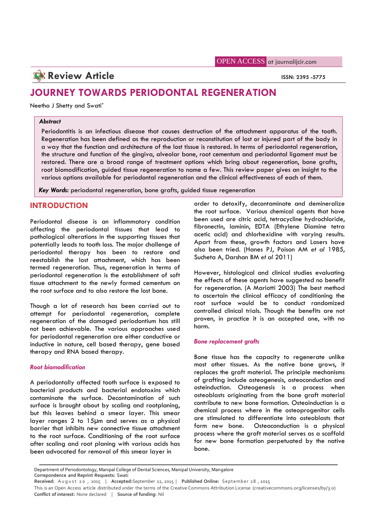OPEN ACCESS at journalijcir.com

# **Review Article ISSN: 2395 -5775**

# **JOURNEY TOWARDS PERIODONTAL REGENERATION**

Neetha J Shetty and Swati\*

### *Abstract*

Periodontitis is an infectious disease that causes destruction of the attachment apparatus of the tooth. Regeneration has been defined as the reproduction or reconstitution of lost or injured part of the body in a way that the function and architecture of the lost tissue is restored. In terms of periodontal regeneration, the structure and function of the gingiva, alveolar bone, root cementum and periodontal ligament must be restored. There are a broad range of treatment options which bring about regeneration, bone grafts, root biomodification, guided tissue regeneration to name a few. This review paper gives an insight to the various options available for periodontal regeneration and the clinical effectiveness of each of them.

*Key Words:* periodontal regeneration, bone grafts, guided tissue regeneration

# **INTRODUCTION**

Periodontal disease is an inflammatory condition affecting the periodontal tissues that lead to pathological alterations in the supporting tissues that potentially leads to tooth loss. The major challenge of periodontal therapy has been to restore and reestablish the lost attachment, which has been termed regeneration. Thus, regeneration in terms of periodontal regeneration is the establishment of soft tissue attachment to the newly formed cementum on the root surface and to also restore the lost bone.

Though a lot of research has been carried out to attempt for periodontal regeneration, complete regeneration of the damaged periodontium has still not been achievable. The various approaches used for periodontal regeneration are either conductive or inductive in nature, cell based therapy, gene based therapy and RNA based therapy.

## *Root biomodification*

A periodontally affected tooth surface is exposed to bacterial products and bacterial endotoxins which contaminate the surface. Decontamination of such surface is brought about by scaling and rootplaning, but this leaves behind a smear layer. This smear layer ranges 2 to 15µm and serves as a physical barrier that inhibits new connective tissue attachment form new bone. to the root surface. Conditioning of the root surface after scaling and root planing with various acids has been advocated for removal of this smear layer in

order to detoxify, decontaminate and demineralize the root surface. Various chemical agents that have been used are citric acid, tetracycline hydrochloride, fibronectin, laminin, EDTA (Ethylene Diamine tetra acetic acid) and chlorhexidine with varying results. Apart from these, growth factors and Lasers have also been tried. (Hanes PJ, Poison AM *et al* 1985, Sucheta A, Darshan BM *et al* 2011)

However, histological and clinical studies evaluating the effects of these agents have suggested no benefit for regeneration. (A Mariotti 2003) The best method to ascertain the clinical efficacy of conditioning the root surface would be to conduct randomized controlled clinical trials. Though the benefits are not proven, in practice it is an accepted one, with no harm.

#### *Bone replacement grafts*

Bone tissue has the capacity to regenerate unlike most other tissues. As the native bone grows, it replaces the graft material. The principle mechanisms of grafting include osteogenesis, osteoconduction and osteinduction. Osteogenesis is a process when osteoblasts originating from the bone graft material contribute to new bone formation. Osteoinduction is a chemical process where in the osteoprogenitor cells are stimulated to differentiate into osteoblasts that Osteoconduction is a physical process where the graft material serves as a scaffold for new bone formation perpetuated by the native bone.

Department of Periodontology, Manipal College of Dental Sciences, Manipal University, Mangalore

**Correpondence and Reprint Requests:** Swati

een advocated for removal of this smear layer in<br>Department of Periodontology, Manipal College of Dental Sciences, Manipal University, Mangalore<br>Correpondence and Reprint Requests: Swati<br>Received: August 20, 2015 | Accepte **Conflict of interest:** None declared | **Source of funding:** Nil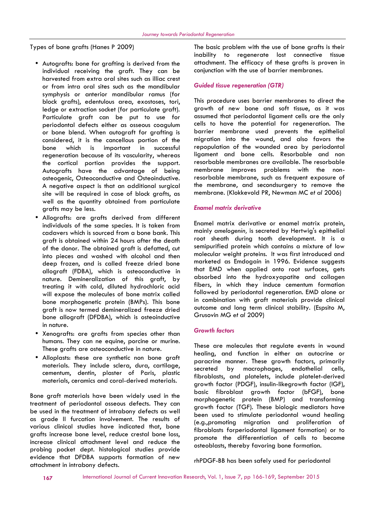Types of bone grafts (Hanes P 2009)

- Autografts: bone for grafting is derived from the individual receiving the graft. They can be harvested from extra oral sites such as illiac crest or from intra oral sites such as the mandibular symphysis or anterior mandibular ramus (for block grafts), edentulous area, exostoses, tori, ledge or extraction socket (for particulate graft). Particulate graft can be put to use for periodontal defects either as osseous coagulum or bone blend. When autograft for grafting is considered, it is the cancellous portion of the bone which is important in successful regeneration because of its vascularity, whereas the cortical portion provides the support. Autografts have the advantage of being osteogenic, Osteoconductive and Osteoinductive. A negative aspect is that an additional surgical site will be required in case of block grafts, as well as the quantity obtained from particulate grafts may be less.
- Allografts: are grafts derived from different individuals of the same species. It is taken from cadavers which is sourced from a bone bank. This graft is obtained within 24 hours after the death of the donor. The obtained graft is defatted, cut into pieces and washed with alcohol and then deep frozen, and is called freeze dried bone allograft (FDBA), which is osteoconductive in nature. Demineralization of this graft, by treating it with cold, diluted hydrochloric acid will expose the molecules of bone matrix called bone morphogenetic protein (BMPs). This bone graft is now termed demineralized freeze dried bone allograft (DFDBA), which is osteoinductive in nature.
- Xenografts: are grafts from species other than humans. They can ne equine, porcine or murine. These grafts are osteoconductive in nature.
- Alloplasts: these are synthetic non bone graft materials. They include sclera, dura, cartilage, cementum, dentin, plaster of Paris, plastic materials, ceramics and coral-derived materials.

Bone graft materials have been widely used in the treatment of periodontal osseous defects. They can be used in the treatment of intrabony defects as well as grade II furcation involvement. The results of various clinical studies have indicated that, bone grafts increase bone level, reduce crestal bone loss, increase clinical attachment level and reduce the probing pocket dept. histological studies provide evidence that DFDBA supports formation of new attachment in intrabony defects.

The basic problem with the use of bone grafts is their inability to regenerate lost connective tissue attachment. The efficacy of these grafts is proven in conjunction with the use of barrier membranes.

#### *Guided tissue regeneration (GTR)*

This procedure uses barrier membranes to direct the growth of new bone and soft tissue, as it was assumed that periodontal ligament cells are the only cells to have the potential for regeneration. The barrier membrane used prevents the epithelial migration into the wound, and also favors the repopulation of the wounded area by periodontal ligament and bone cells. Resorbable and non resorbable membranes are available. The resorbable membrane improves problems with the nonresorbable membrane, such as frequent exposure of the membrane, and secondsurgery to remove the membrane. (Klokkevold PR, Newman MC *et al* 2006)

#### *Enamel matrix derivative*

Enamel matrix derivative or enamel matrix protein, mainly *amelogenin,* is secreted by Hertwig's epithelial root sheath during tooth development. It is a semipurified protein which contains a mixture of low molecular weight proteins. It was first introduced and marketed as Emdogain in 1996. Evidence suggests that EMD when applied onto root surfaces, gets absorbed into the hydroxyapatite and collagen fibers, in which they induce cementum formation followed by periodontal regeneration. EMD alone or in combination with graft materials provide clinical outcome and long term clinical stability. (Espsito M, Grusovin MG *et al* 2009)

#### *Growth factors*

These are molecules that regulate events in wound healing, and function in either an autocrine or paracrine manner. These growth factors, primarily secreted by macrophages, endothelial cells, fibroblasts, and platelets, include platelet-derived growth factor (PDGF), insulin-likegrowth factor (IGF), basic fibroblast growth factor (bFGF), bone morphogenetic protein (BMP) and transforming growth factor (TGF). These biologic mediators have been used to stimulate periodontal wound healing (e.g.,promoting migration and proliferation of fibroblasts forperiodontal ligament formation) or to promote the differentiation of cells to become osteoblasts, thereby favoring bone formation.

rhPDGF-BB has been safely used for periodontal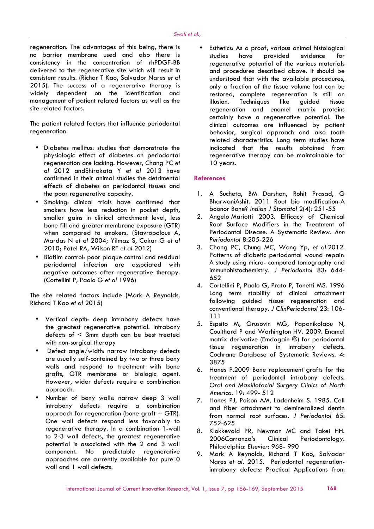regeneration. The advantages of this being, there is no barrier membrane used and also there is consistency in the concentration of rhPDGF-BB delivered to the regenerative site which will result in consistent results. (Richar T Kao, Salvador Nares *et al* 2015). The success of a regenerative therapy is widely dependent on the identification and management of patient related factors as well as the site related factors.

The patient related factors that influence periodontal regeneration

- Diabetes mellitus: studies that demonstrate the physiologic effect of diabetes on periodontal regeneration are lacking. However, Chang PC *et al* 2012 andShirakata Y *et al* 2013 have confirmed in their animal studies the detrimental effects of diabetes on periodontal tissues and the poor regenerative capacity.
- Smoking: clinical trials have confirmed that smokers have less reduction in pocket depth, smaller gains in clinical attachment level, less bone fill and greater membrane exposure (GTR) when compared to smokers. (Stavropolous A, Mardas N *et al* 2004; Yilmaz S, Cakar G *et al* 2010; Patel RA, Wilson RF *et al* 2012)
- Biofilm control: poor plaque control and residual periodontal infection are associated with negative outcomes after regenerative therapy. (Cortellini P, Paolo G *et al* 1996)

The site related factors include (Mark A Reynolds, Richard T Kao *et al* 2015)

- Vertical depth: deep intrabony defects have the greatest regenerative potential. Intrabony defects of  $\leq$  3mm depth can be best treated with non-surgical therapy
- Defect angle/width: narrow intrabony defects are usually self-contained by two or three bony walls and respond to treatment with bone grafts, GTR membrane or biologic agent. However, wider defects require a combination approach.
- Number of bony walls: narrow deep 3 wall Number or bony walls: narrow deep 3 wall  $\frac{7}{7}$ . approach for regeneration (bone graft  $+$  GTR). One wall defects respond less favorably to regenerative therapy. In a combination 1-wall to 2-3 wall defects, the greatest regenerative potential is associated with the 2 and 3 wall component. No predictable regenerative approaches are currently available for pure 0 wall and 1 wall defects.

 Esthetics: As a proof, various animal histological studies have provided evidence for regenerative potential of the various materials and procedures described above. It should be understood that with the available procedures, only a fraction of the tissue volume lost can be restored, complete regeneration is still an illusion. Techniques like guided tissue regeneration and enamel matrix proteins certainly have a regenerative potential. The clinical outcomes are influenced by patient behavior, surgical approach and also tooth related characteristics. Long term studies have indicated that the results obtained from regenerative therapy can be maintainable for 10 years.

## **References**

- 1. A Sucheta, BM Darshan, Rohit Prasad, G BharwaniAshit. 2011 Root bio modification-A boonor Bane? *Indian J Stomatol* 2(4): 251-55
- 2. Angelo Mariotti 2003. Efficacy of Chemical Root Surface Modifiers in the Treatment of Periodontal Disease. A Systematic Review*. Ann Periodontol* 8:205-226
- 3. Chang PC, Chung MC, Wang Yp, *et al*.2012. Patterns of diabetic periodontal wound repair: A study using micro- computed tomography and immunohistochemistry. *J Periodontol* 83: 644- 652
- 4. Cortellini P, Paolo G, Prato P, Tonetti MS. 1996 Long term stability of clinical attachment following guided tissue regeneration and conventional therapy. *J ClinPeriodontol* 23: 106- 111
- 5. Espsito M, Grusovin MG, Papanikolaou N, Coulthard P and Worhington HV. 2009. Enamel matrix derivative (Emdogain ®) for periodontal tissue regeneration in intrabony defects. Cochrane Database of Systematic Reviews. 4: 3875
- 6. Hanes P.2009 Bone replacement grafts for the treatment of periodontal intrabony defects. *Oral and Maxillofacial Surgery Clinics of North America*. 19: 499- 512
- 7. Hanes PJ, Poison AM, Ladenheim S. 1985. Cell and fiber attachment to demineralized dentin from normal root surfaces. *J Periodontol* 65: 752-625
- 8. Klokkevold PR, Newman MC and Takei HH. 2006Carranza's Clinical Periodontology. Philadelphia: *Elsevier*: 968- 990
- 9. Mark A Reynolds, Richard T Kao, Salvador Nares *et al*. 2015. Periodontal regenerationintrabony defects: Practical Applications from